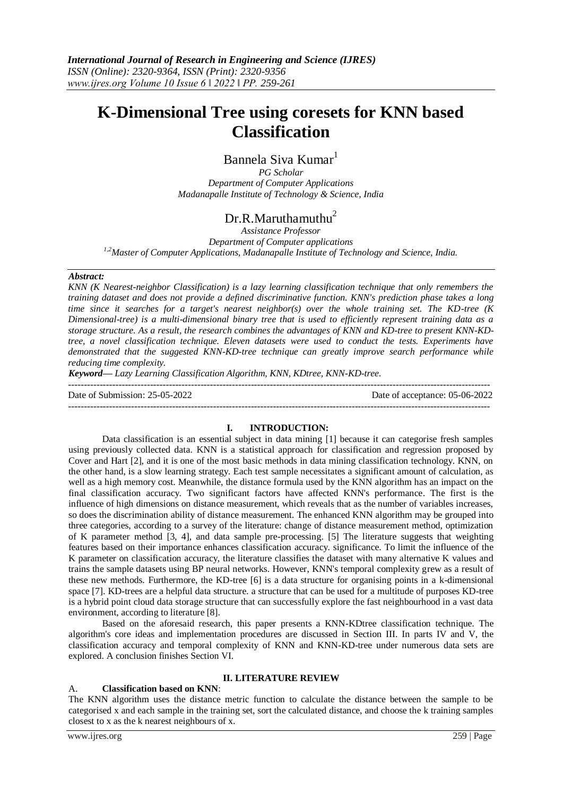# **K-Dimensional Tree using coresets for KNN based Classification**

# Bannela Siva Kumar<sup>1</sup>

*PG Scholar Department of Computer Applications Madanapalle Institute of Technology & Science, India*

# $Dr.R.Marutha$ muthu<sup>2</sup>

*Assistance Professor Department of Computer applications 1,2Master of Computer Applications, Madanapalle Institute of Technology and Science, India.*

# *Abstract:*

*KNN (K Nearest-neighbor Classification) is a lazy learning classification technique that only remembers the training dataset and does not provide a defined discriminative function. KNN's prediction phase takes a long time since it searches for a target's nearest neighbor(s) over the whole training set. The KD-tree (K Dimensional-tree) is a multi-dimensional binary tree that is used to efficiently represent training data as a storage structure. As a result, the research combines the advantages of KNN and KD-tree to present KNN-KDtree, a novel classification technique. Eleven datasets were used to conduct the tests. Experiments have demonstrated that the suggested KNN-KD-tree technique can greatly improve search performance while reducing time complexity.*

*Keyword— Lazy Learning Classification Algorithm, KNN, KDtree, KNN-KD-tree.*

-------------------------------------------------------------------------------------------------------------------------------------- Date of Submission: 25-05-2022 Date of acceptance: 05-06-2022 --------------------------------------------------------------------------------------------------------------------------------------

## **I. INTRODUCTION:**

Data classification is an essential subject in data mining [1] because it can categorise fresh samples using previously collected data. KNN is a statistical approach for classification and regression proposed by Cover and Hart [2], and it is one of the most basic methods in data mining classification technology. KNN, on the other hand, is a slow learning strategy. Each test sample necessitates a significant amount of calculation, as well as a high memory cost. Meanwhile, the distance formula used by the KNN algorithm has an impact on the final classification accuracy. Two significant factors have affected KNN's performance. The first is the influence of high dimensions on distance measurement, which reveals that as the number of variables increases, so does the discrimination ability of distance measurement. The enhanced KNN algorithm may be grouped into three categories, according to a survey of the literature: change of distance measurement method, optimization of K parameter method [3, 4], and data sample pre-processing. [5] The literature suggests that weighting features based on their importance enhances classification accuracy. significance. To limit the influence of the K parameter on classification accuracy, the literature classifies the dataset with many alternative K values and trains the sample datasets using BP neural networks. However, KNN's temporal complexity grew as a result of these new methods. Furthermore, the KD-tree [6] is a data structure for organising points in a k-dimensional space [7]. KD-trees are a helpful data structure. a structure that can be used for a multitude of purposes KD-tree is a hybrid point cloud data storage structure that can successfully explore the fast neighbourhood in a vast data environment, according to literature [8].

Based on the aforesaid research, this paper presents a KNN-KDtree classification technique. The algorithm's core ideas and implementation procedures are discussed in Section III. In parts IV and V, the classification accuracy and temporal complexity of KNN and KNN-KD-tree under numerous data sets are explored. A conclusion finishes Section VI.

## **II. LITERATURE REVIEW**

### A. **Classification based on KNN**:

The KNN algorithm uses the distance metric function to calculate the distance between the sample to be categorised x and each sample in the training set, sort the calculated distance, and choose the k training samples closest to x as the k nearest neighbours of x.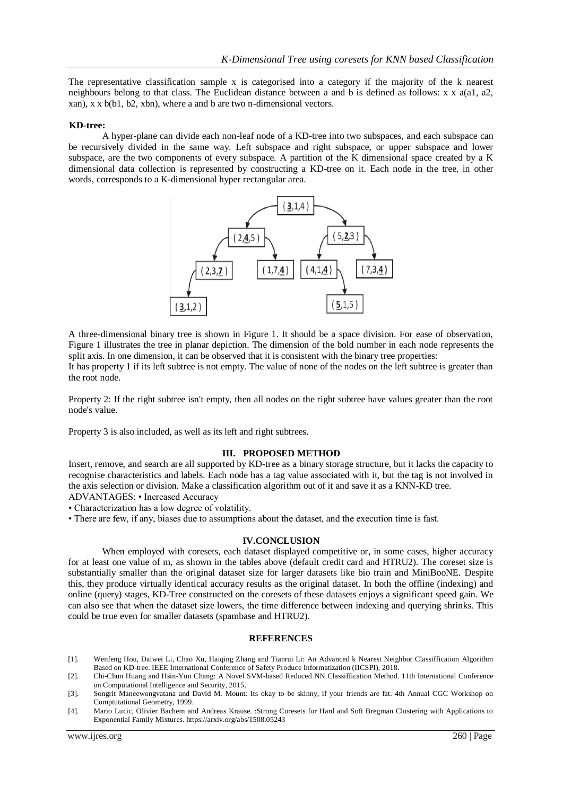The representative classification sample x is categorised into a category if the majority of the k nearest neighbours belong to that class. The Euclidean distance between a and b is defined as follows:  $x \times a(1, a2)$ , xan), x x b(b1, b2, xbn), where a and b are two n-dimensional vectors.

#### **KD-tree:**

A hyper-plane can divide each non-leaf node of a KD-tree into two subspaces, and each subspace can be recursively divided in the same way. Left subspace and right subspace, or upper subspace and lower subspace, are the two components of every subspace. A partition of the K dimensional space created by a K dimensional data collection is represented by constructing a KD-tree on it. Each node in the tree, in other words, corresponds to a K-dimensional hyper rectangular area.



A three-dimensional binary tree is shown in Figure 1. It should be a space division. For ease of observation, Figure 1 illustrates the tree in planar depiction. The dimension of the bold number in each node represents the split axis. In one dimension, it can be observed that it is consistent with the binary tree properties: It has property 1 if its left subtree is not empty. The value of none of the nodes on the left subtree is greater than the root node.

Property 2: If the right subtree isn't empty, then all nodes on the right subtree have values greater than the root node's value.

Property 3 is also included, as well as its left and right subtrees.

#### **III. PROPOSED METHOD**

Insert, remove, and search are all supported by KD-tree as a binary storage structure, but it lacks the capacity to recognise characteristics and labels. Each node has a tag value associated with it, but the tag is not involved in the axis selection or division. Make a classification algorithm out of it and save it as a KNN-KD tree. ADVANTAGES: • Increased Accuracy

• Characterization has a low degree of volatility.

• There are few, if any, biases due to assumptions about the dataset, and the execution time is fast.

#### **IV.CONCLUSION**

When employed with coresets, each dataset displayed competitive or, in some cases, higher accuracy for at least one value of m, as shown in the tables above (default credit card and HTRU2). The coreset size is substantially smaller than the original dataset size for larger datasets like bio train and MiniBooNE. Despite this, they produce virtually identical accuracy results as the original dataset. In both the offline (indexing) and online (query) stages, KD-Tree constructed on the coresets of these datasets enjoys a significant speed gain. We can also see that when the dataset size lowers, the time difference between indexing and querying shrinks. This could be true even for smaller datasets (spambase and HTRU2).

#### **REFERENCES**

<sup>[1].</sup> Wenfeng Hou, Daiwei Li, Chao Xu, Haiqing Zhang and Tianrui Li: An Advanced k Nearest Neighbor Classiffication Algorithm Based on KD-tree. IEEE International Conference of Safety Produce Informatization (IICSPI), 2018.

<sup>[2].</sup> Chi-Chun Huang and Hsin-Yun Chang: A Novel SVM-based Reduced NN Classiffication Method. 11th International Conference on Computational Intelligence and Security, 2015.

<sup>[3].</sup> Songrit Maneewongvatana and David M. Mount: Its okay to be skinny, if your friends are fat. 4th Annual CGC Workshop on Comptutational Geometry, 1999.

<sup>[4].</sup> Mario Lucic, Olivier Bachem and Andreas Krause. :Strong Coresets for Hard and Soft Bregman Clustering with Applications to Exponential Family Mixtures. https://arxiv.org/abs/1508.05243